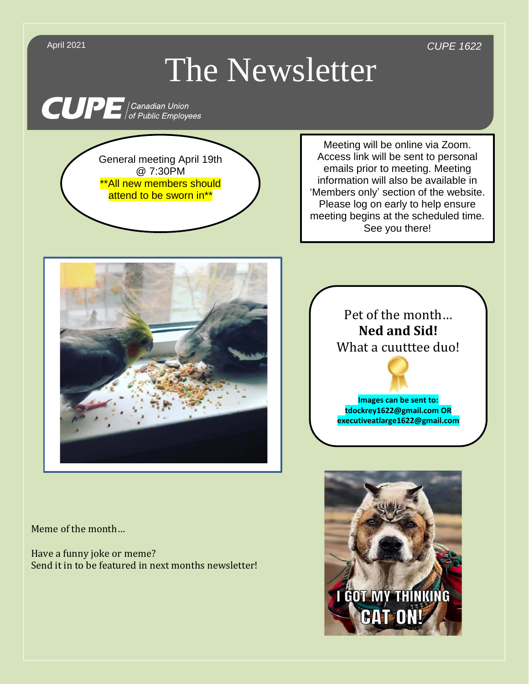April 2021 *CUPE 1622*

## The Newsletter

**CUPE** Canadian Union

General meeting April 19th @ 7:30PM \*\*All new members should attend to be sworn in<sup>\*\*</sup>

Meeting will be online via Zoom. Access link will be sent to personal emails prior to meeting. Meeting information will also be available in 'Members only' section of the website. Please log on early to help ensure meeting begins at the scheduled time. See you there!



Meme of the month…

Have a funny joke or meme? Send it in to be featured in next months newsletter!

## Pet of the month… **Ned and Sid!** What a cuutttee duo!



**Images can be sent to: tdockrey1622@gmail.com OR executiveatlarge1622@gmail.com**